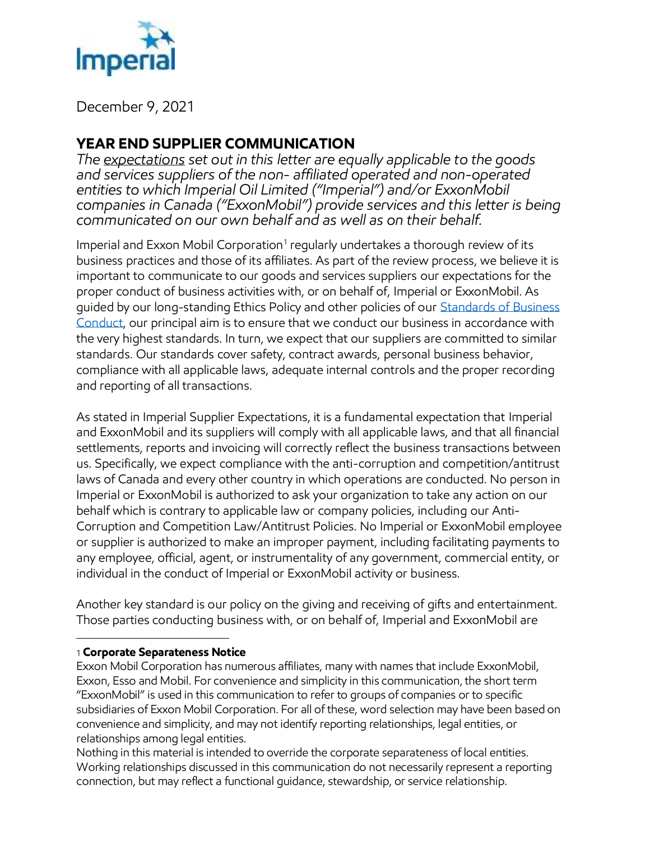

December 9, 2021

## **YEAR END SUPPLIER COMMUNICATION**

*The expectations set out in this letter are equally applicable to the goods and services suppliers of the non- affiliated operated and non-operated entities to which Imperial Oil Limited ("Imperial") and/or ExxonMobil companies in Canada ("ExxonMobil") provide services and this letter is being communicated on our own behalf and as well as on their behalf.*

Imperial and Exxon Mobil Corporation<sup>1</sup> regularly undertakes a thorough review of its business practices and those of its affiliates. As part of the review process, we believe it is important to communicate to our goods and services suppliers our expectations for the proper conduct of business activities with, or on behalf of, Imperial or ExxonMobil. As guided by our long-standing Ethics Policy and other policies of our [Standards of Business](https://www.imperialoil.ca/en-CA/Investors/Corporate-governance/Ethics-and-Standards-of-Business-Conduct)  [Conduct,](https://www.imperialoil.ca/en-CA/Investors/Corporate-governance/Ethics-and-Standards-of-Business-Conduct) our principal aim is to ensure that we conduct our business in accordance with the very highest standards. In turn, we expect that our suppliers are committed to similar standards. Our standards cover safety, contract awards, personal business behavior, compliance with all applicable laws, adequate internal controls and the proper recording and reporting of all transactions.

As stated in Imperial Supplier Expectations, it is a fundamental expectation that Imperial and ExxonMobil and its suppliers will comply with all applicable laws, and that all financial settlements, reports and invoicing will correctly reflect the business transactions between us. Specifically, we expect compliance with the anti-corruption and competition/antitrust laws of Canada and every other country in which operations are conducted. No person in Imperial or ExxonMobil is authorized to ask your organization to take any action on our behalf which is contrary to applicable law or company policies, including our Anti-Corruption and Competition Law/Antitrust Policies. No Imperial or ExxonMobil employee or supplier is authorized to make an improper payment, including facilitating payments to any employee, official, agent, or instrumentality of any government, commercial entity, or individual in the conduct of Imperial or ExxonMobil activity or business.

Another key standard is our policy on the giving and receiving of gifts and entertainment. Those parties conducting business with, or on behalf of, Imperial and ExxonMobil are

## 1 **Corporate Separateness Notice**

 $\overline{a}$ 

Exxon Mobil Corporation has numerous affiliates, many with names that include ExxonMobil, Exxon, Esso and Mobil. For convenience and simplicity in this communication, the short term "ExxonMobil" is used in this communication to refer to groups of companies or to specific subsidiaries of Exxon Mobil Corporation. For all of these, word selection may have been based on convenience and simplicity, and may not identify reporting relationships, legal entities, or relationships among legal entities.

Nothing in this material is intended to override the corporate separateness of local entities. Working relationships discussed in this communication do not necessarily represent a reporting connection, but may reflect a functional guidance, stewardship, or service relationship.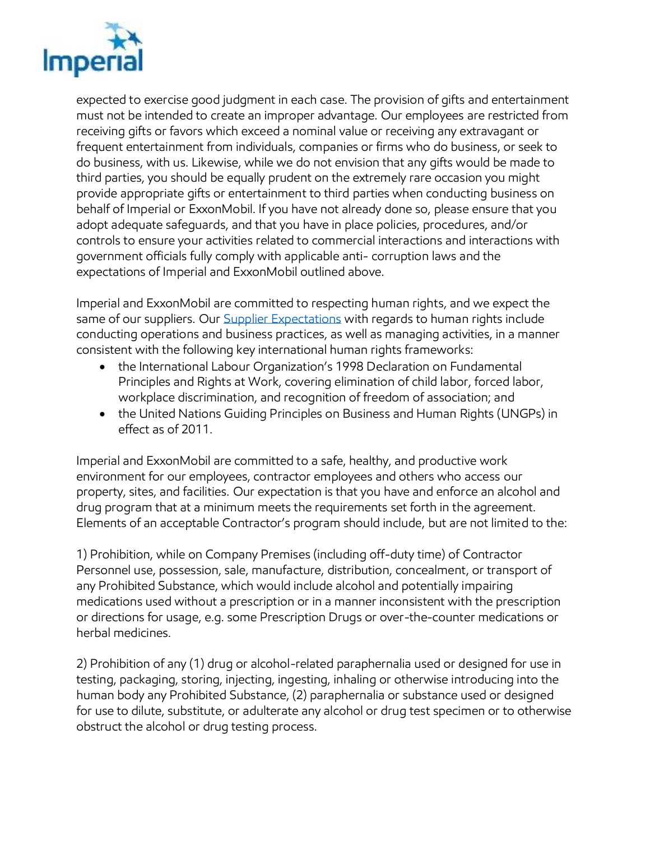

expected to exercise good judgment in each case. The provision of gifts and entertainment must not be intended to create an improper advantage. Our employees are restricted from receiving gifts or favors which exceed a nominal value or receiving any extravagant or frequent entertainment from individuals, companies or firms who do business, or seek to do business, with us. Likewise, while we do not envision that any gifts would be made to third parties, you should be equally prudent on the extremely rare occasion you might provide appropriate gifts or entertainment to third parties when conducting business on behalf of Imperial or ExxonMobil. If you have not already done so, please ensure that you adopt adequate safeguards, and that you have in place policies, procedures, and/or controls to ensure your activities related to commercial interactions and interactions with government officials fully comply with applicable anti- corruption laws and the expectations of Imperial and ExxonMobil outlined above.

Imperial and ExxonMobil are committed to respecting human rights, and we expect the same of our suppliers. Our [Supplier Expectations](https://www.imperialoil.ca/en-CA/Investors/Corporate-governance/Ethics-and-Standards-of-Business-Conduct) with regards to human rights include conducting operations and business practices, as well as managing activities, in a manner consistent with the following key international human rights frameworks:

- the International Labour Organization's 1998 Declaration on Fundamental Principles and Rights at Work, covering elimination of child labor, forced labor, workplace discrimination, and recognition of freedom of association; and
- the United Nations Guiding Principles on Business and Human Rights (UNGPs) in effect as of 2011.

Imperial and ExxonMobil are committed to a safe, healthy, and productive work environment for our employees, contractor employees and others who access our property, sites, and facilities. Our expectation is that you have and enforce an alcohol and drug program that at a minimum meets the requirements set forth in the agreement. Elements of an acceptable Contractor's program should include, but are not limited to the:

1) Prohibition, while on Company Premises (including off-duty time) of Contractor Personnel use, possession, sale, manufacture, distribution, concealment, or transport of any Prohibited Substance, which would include alcohol and potentially impairing medications used without a prescription or in a manner inconsistent with the prescription or directions for usage, e.g. some Prescription Drugs or over-the-counter medications or herbal medicines.

2) Prohibition of any (1) drug or alcohol-related paraphernalia used or designed for use in testing, packaging, storing, injecting, ingesting, inhaling or otherwise introducing into the human body any Prohibited Substance, (2) paraphernalia or substance used or designed for use to dilute, substitute, or adulterate any alcohol or drug test specimen or to otherwise obstruct the alcohol or drug testing process.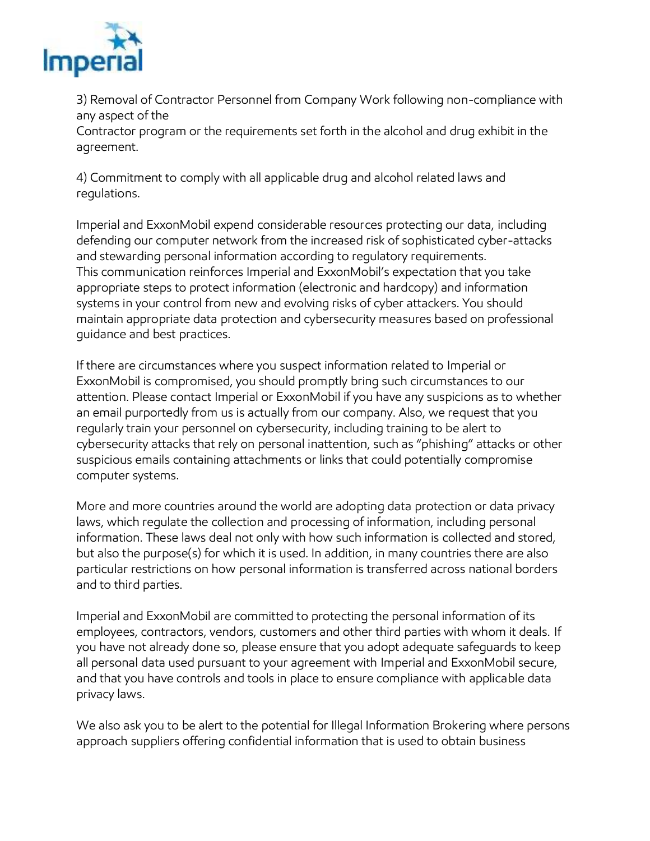

3) Removal of Contractor Personnel from Company Work following non-compliance with any aspect of the

Contractor program or the requirements set forth in the alcohol and drug exhibit in the agreement.

4) Commitment to comply with all applicable drug and alcohol related laws and regulations.

Imperial and ExxonMobil expend considerable resources protecting our data, including defending our computer network from the increased risk of sophisticated cyber-attacks and stewarding personal information according to regulatory requirements. This communication reinforces Imperial and ExxonMobil's expectation that you take appropriate steps to protect information (electronic and hardcopy) and information systems in your control from new and evolving risks of cyber attackers. You should maintain appropriate data protection and cybersecurity measures based on professional guidance and best practices.

If there are circumstances where you suspect information related to Imperial or ExxonMobil is compromised, you should promptly bring such circumstances to our attention. Please contact Imperial or ExxonMobil if you have any suspicions as to whether an email purportedly from us is actually from our company. Also, we request that you regularly train your personnel on cybersecurity, including training to be alert to cybersecurity attacks that rely on personal inattention, such as "phishing" attacks or other suspicious emails containing attachments or links that could potentially compromise computer systems.

More and more countries around the world are adopting data protection or data privacy laws, which regulate the collection and processing of information, including personal information. These laws deal not only with how such information is collected and stored, but also the purpose(s) for which it is used. In addition, in many countries there are also particular restrictions on how personal information is transferred across national borders and to third parties.

Imperial and ExxonMobil are committed to protecting the personal information of its employees, contractors, vendors, customers and other third parties with whom it deals. If you have not already done so, please ensure that you adopt adequate safeguards to keep all personal data used pursuant to your agreement with Imperial and ExxonMobil secure, and that you have controls and tools in place to ensure compliance with applicable data privacy laws.

We also ask you to be alert to the potential for Illegal Information Brokering where persons approach suppliers offering confidential information that is used to obtain business